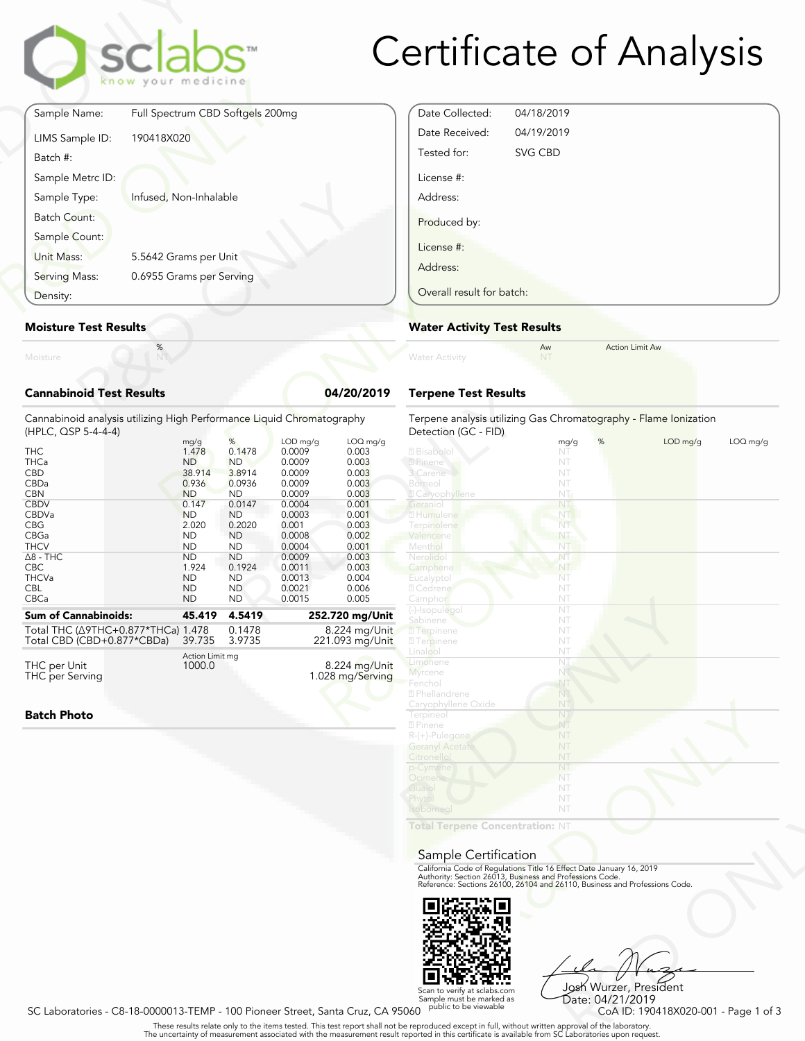| <b>Certificate of Analysis</b> |  |  |
|--------------------------------|--|--|
|--------------------------------|--|--|

|                                 | sclabs<br>know your medicine     |            |
|---------------------------------|----------------------------------|------------|
| Sample Name:                    | Full Spectrum CBD Softgels 200mg |            |
| LIMS Sample ID:<br>Batch #:     | 190418X020                       |            |
| Sample Metrc ID:                |                                  |            |
| Sample Type:                    | Infused, Non-Inhalable           |            |
| Batch Count:                    |                                  |            |
| Sample Count:<br>Unit Mass:     | 5.5642 Grams per Unit            |            |
| Serving Mass:                   | 0.6955 Grams per Serving         |            |
| Density:                        |                                  |            |
| <b>Moisture Test Results</b>    |                                  |            |
| Moisture                        | $\%$                             |            |
| <b>Cannabinoid Test Results</b> |                                  | 04/20/2019 |

#### **Moisture Test Results**

| Density:                                                                                                                                                                                           |                                                                                                                                                                                  |                                                                                                                                                                                    |                                                                                                                                                               | Overall result for batch:                                                                                                                       |                                                                                                                                                                                                         |  |
|----------------------------------------------------------------------------------------------------------------------------------------------------------------------------------------------------|----------------------------------------------------------------------------------------------------------------------------------------------------------------------------------|------------------------------------------------------------------------------------------------------------------------------------------------------------------------------------|---------------------------------------------------------------------------------------------------------------------------------------------------------------|-------------------------------------------------------------------------------------------------------------------------------------------------|---------------------------------------------------------------------------------------------------------------------------------------------------------------------------------------------------------|--|
| <b>Moisture Test Results</b>                                                                                                                                                                       |                                                                                                                                                                                  |                                                                                                                                                                                    |                                                                                                                                                               |                                                                                                                                                 | <b>Water Activity Test R</b>                                                                                                                                                                            |  |
| Moisture                                                                                                                                                                                           | $\%$<br>NT                                                                                                                                                                       |                                                                                                                                                                                    |                                                                                                                                                               |                                                                                                                                                 | <b>Water Activity</b>                                                                                                                                                                                   |  |
| <b>Cannabinoid Test Results</b>                                                                                                                                                                    |                                                                                                                                                                                  |                                                                                                                                                                                    |                                                                                                                                                               | 04/20/2019                                                                                                                                      | <b>Terpene Test Results</b>                                                                                                                                                                             |  |
| Cannabinoid analysis utilizing High Performance Liquid Chromatography<br>(HPLC, QSP 5-4-4-4)                                                                                                       |                                                                                                                                                                                  |                                                                                                                                                                                    |                                                                                                                                                               |                                                                                                                                                 | Terpene analysis utilizing<br>Detection (GC - FID)                                                                                                                                                      |  |
| <b>THC</b><br><b>THCa</b><br><b>CBD</b><br>CBDa<br><b>CBN</b><br><b>CBDV</b><br>CBDVa<br><b>CBG</b><br>CBGa<br><b>THCV</b><br>$\Delta$ 8 - THC<br><b>CBC</b><br><b>THCVa</b><br><b>CBL</b><br>CBCa | mg/g<br>1.478<br><b>ND</b><br>38.914<br>0.936<br><b>ND</b><br>0.147<br><b>ND</b><br>2.020<br><b>ND</b><br><b>ND</b><br><b>ND</b><br>1.924<br><b>ND</b><br><b>ND</b><br><b>ND</b> | %<br>0.1478<br><b>ND</b><br>3.8914<br>0.0936<br><b>ND</b><br>0.0147<br><b>ND</b><br>0.2020<br><b>ND</b><br><b>ND</b><br><b>ND</b><br>0.1924<br><b>ND</b><br><b>ND</b><br><b>ND</b> | LOD mg/g<br>0.0009<br>0.0009<br>0.0009<br>0.0009<br>0.0009<br>0.0004<br>0.0003<br>0.001<br>0.0008<br>0.0004<br>0.0009<br>0.0011<br>0.0013<br>0.0021<br>0.0015 | LOQ mg/g<br>0.003<br>0.003<br>0.003<br>0.003<br>0.003<br>0.001<br>0.001<br>0.003<br>0.002<br>0.001<br>0.003<br>0.003<br>0.004<br>0.006<br>0.005 | 2 Bisabolol<br>2 Pinene<br>3 Carene<br>Borneol<br><b>Z</b> Caryophyllene<br>Geranio<br>2 Humulene<br>Terpinolene<br>Valencene<br>Menthol<br>Nerolidol<br>Camphene<br>Eucalyptol<br>2 Cedrene<br>Camphor |  |
| <b>Sum of Cannabinoids:</b>                                                                                                                                                                        | 45.419                                                                                                                                                                           | 4.5419                                                                                                                                                                             |                                                                                                                                                               | 252.720 mg/Unit                                                                                                                                 | (-)-Isopulegol<br>Sabinene                                                                                                                                                                              |  |
| Total THC (Δ9THC+0.877*THCa) 1.478<br>Total CBD (CBD+0.877*CBDa)<br>THC per Unit<br><b>THC</b> per Serving                                                                                         | 39.735<br>Action Limit mg<br>1000.0                                                                                                                                              | 0.1478<br>3.9735                                                                                                                                                                   |                                                                                                                                                               | 8.224 mg/Unit<br>221.093 mg/Unit<br>8.224 mg/Unit<br>1.028 mg/Serving                                                                           | <b>7</b> Terpinene<br><b>27 Terpinene</b><br>Linalool<br>Limonene<br>Myrcene<br>Fenchol<br>2 Phellandrene                                                                                               |  |

**Batch Photo**

| Date Collected:           | 04/18/2019 |  |
|---------------------------|------------|--|
| Date Received:            | 04/19/2019 |  |
| Tested for:               | SVG CBD    |  |
| License #:                |            |  |
| Address:                  |            |  |
| Produced by:              |            |  |
| License #:                |            |  |
| Address:                  |            |  |
| Overall result for batch: |            |  |

#### **Water Activity Test Results**

| <b>Water Activity</b>       | Aw | <b>Action Limit Aw</b> |  |
|-----------------------------|----|------------------------|--|
| <b>Terpene Test Results</b> |    |                        |  |

| atography      | Terpene analysis utilizing Gas Chromatography - Flame Ionization<br>Detection (GC - FID) |           |          |          |
|----------------|------------------------------------------------------------------------------------------|-----------|----------|----------|
| $LOQ$ mg/g     |                                                                                          | mg/g<br>% | LOD mg/g | LOQ mg/g |
| 0.003          | 2 Bisabolol                                                                              | NT        |          |          |
| 0.003          | ? Pinene                                                                                 | NT        |          |          |
| 0.003          | 3 Carene                                                                                 | NT        |          |          |
| 0.003          | Borneol                                                                                  | NT        |          |          |
| 0.003          | <b>Z</b> Caryophyllene                                                                   | NT-       |          |          |
| 0.001          | Geraniol                                                                                 | NT        |          |          |
| 0.001          | 2 Humulene                                                                               | NT        |          |          |
| 0.003          | Terpinolene                                                                              | Nī        |          |          |
| 0.002          | Valencene                                                                                | NT        |          |          |
| 0.001          | Menthol                                                                                  | NT        |          |          |
| 0.003          | Nerolidol                                                                                | NT        |          |          |
| 0.003          | Camphene                                                                                 | NT        |          |          |
| 0.004          | Eucalyptol                                                                               | NT        |          |          |
| 0.006          | 2 Cedrene                                                                                | NT        |          |          |
| 0.005          | Camphor                                                                                  | NT        |          |          |
| 2.720 mg/Unit  | (-)-Isopulegol                                                                           | NT        |          |          |
|                | Sabinene                                                                                 | NT        |          |          |
| 8.224 mg/Unit  | 2 Terpinene                                                                              | NT        |          |          |
| 21.093 mg/Unit | <b>7</b> Terpinene                                                                       | NT        |          |          |
|                | Linalool                                                                                 | NT        |          |          |
| 8.224 mg/Unit  | Limonene<br>Myrcene                                                                      | NI<br>NT  |          |          |
| 028 mg/Serving | Fenchol                                                                                  | NT        |          |          |
|                | 2 Phellandrene                                                                           | NT        |          |          |
|                | Caryophyllene Oxide                                                                      | NT        |          |          |
|                | Terpineol                                                                                | NT        |          |          |
|                | 2 Pinene                                                                                 | NT        |          |          |
|                | $R-(+)$ -Pulegone                                                                        | NT        |          |          |
|                | <b>Geranyl Acetate</b>                                                                   | NT        |          |          |
|                | Citronellol                                                                              | NT        |          |          |
|                | p-Cymene                                                                                 | NT        |          |          |
|                | Ocimene                                                                                  | NT        |          |          |
|                | Guaiol                                                                                   | NT        |          |          |
|                | Phytol                                                                                   | NT        |          |          |
|                | <b>Isoborneo</b>                                                                         | NT        |          |          |
|                |                                                                                          |           |          |          |
|                | Total Terpene Concentration: NT                                                          |           |          |          |
|                |                                                                                          |           |          |          |
|                | Sample Certification                                                                     |           |          |          |
|                | California Code of Regulations Title 16 Effect Date January 16, 2019                     |           |          |          |
|                | Authority: Section 26013, Business and Professions Code.                                 |           |          |          |
|                | Reference: Sections 26100, 26104 and 26110, Business and Professions Code.               |           |          |          |
|                |                                                                                          |           |          |          |
|                |                                                                                          |           |          |          |
|                |                                                                                          |           |          |          |
|                |                                                                                          |           |          |          |
|                |                                                                                          |           |          |          |

#### Sample Certification



VT<br>
Thect Date January 16, 2019<br>
Trofessions Code.<br>
9110, Business and Professions Code.<br>
910.<br>
2028 Wurzer, President<br>
2028 Wurzer, President<br>
2028 Despite Code ID: 190418X020-001 - Page 1 of 3<br>
21 Laboratories upon reque Josh Wurzer, President

Scan to verify at sclabs.com [Scan to verify at sclabs.com]<br>Sample must be marked as [Santa Cruz, CA 95060 public to be viewable [Sate: 04/21/2019 CoA ID: 190418X020-001<br>CoA ID: 190418X020-001 - Page 1 of 3 [Santa Cruz, C Date: 04/21/2019

. These results relate only to the items tested. This test report shall not be reproduced except in full, without written approval of the laboratory.<br>The uncertainty of measurement associated with the measurement result re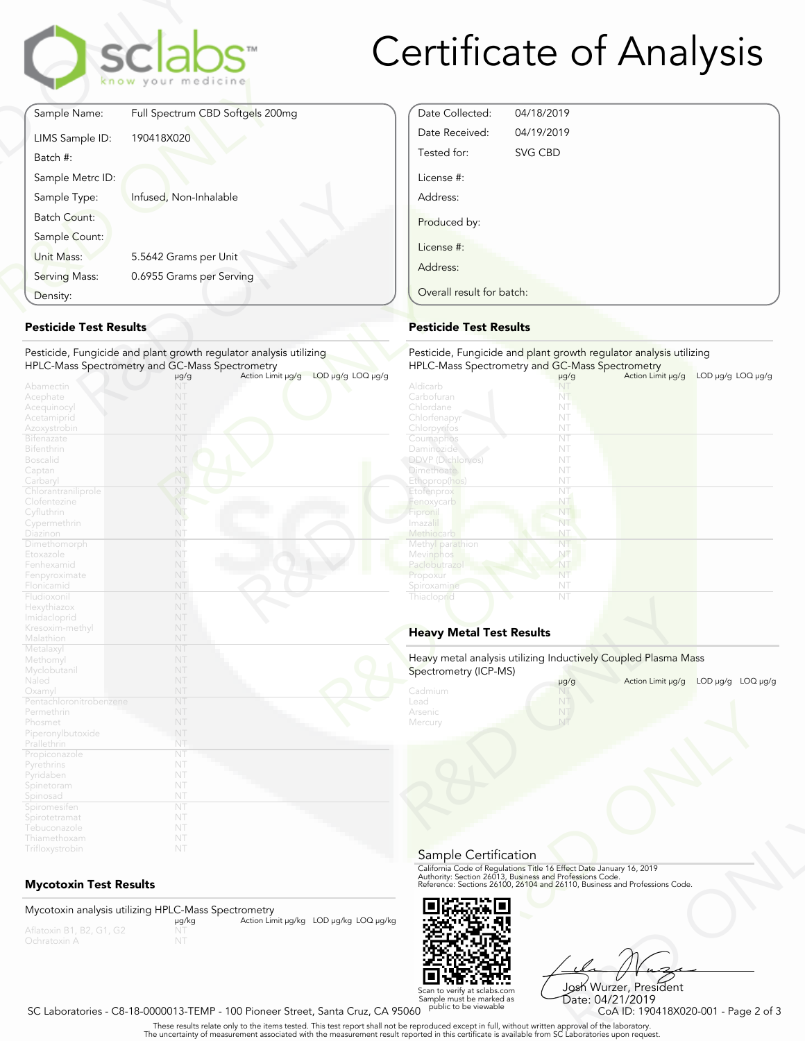## Fype: Infused, Non-Inhalable<br>
unnt:<br>
Sount:<br>
S. 5.5642 Grams per Unit<br>
Mass: 0.6955 Grams per Serving<br> **Test Results**<br>
Fungicide and plant growth regulator analysis utilizing<br>
S. Spectrometry and GC-Mass Spectrometry<br>
MT<br> Finance: Full Spectrum CBD Softgels 200r<br>
LIMS Sample ID: 190418X020<br>
Batch #:<br>
Sample Metrc ID:<br>
Sample Type: Infused, Non-Inhalable<br>
Batch Count:<br>
Sample Count:<br>
Unit Mass: 5.5642 Grams per Unit<br>
Serving Mass: 0.6955 Gra Sample Name: Full Spectrum C<br>
En ow your metal<br>
EliMS Sample ID: 190418X020<br>
Batch #:<br>
Sample Type: Infused, Non-In Sample Name: Full Spectrum CBD Softgels 200mg LIMS Sample ID: 190418X020 Batch #: Sample Metrc ID: Sample Type: Infused, Non-Inhalable Batch Count: Sample Count: Unit Mass: 5.5642 Grams per Unit Serving Mass: 0.6955 Grams per Serving Density:

#### **Pesticide Test Results**

#### Pesticide, Fungicide and plant growth regulator analysis utilizing HPLC-Mass Spectrometry and GC-Mass Spectrometry

| Density:                                                                                       |                                                                                                                       | Overall result for batch:                                                                  |
|------------------------------------------------------------------------------------------------|-----------------------------------------------------------------------------------------------------------------------|--------------------------------------------------------------------------------------------|
| <b>Pesticide Test Results</b>                                                                  | <b>Pesticide Test Results</b>                                                                                         |                                                                                            |
|                                                                                                | Pesticide, Fungicide and plant growth regulator analysis utilizing<br>HPLC-Mass Spectrometry and GC-Mass Spectrometry | Pesticide, Fungicide and<br><b>HPLC-Mass Spectrometry</b>                                  |
| Abamectin<br>Acephate<br>Acequinocyl<br>Acetamiprid<br>Azoxystrobin<br><b>Bifenazate</b>       | LOD µg/g LOQ µg/g<br>Action Limit µg/g<br>$\mu$ g/g<br>NT<br>NT<br>NT<br>NT<br>NT<br>NT                               | Aldicarb<br>Carbofuran<br>Chlordane<br>Chlorfenapyr<br>Chlorpyrifos<br>Coumaphos           |
| <b>Bifenthrin</b><br>Boscalid<br>Captan<br>Carbaryl<br>Chlorantraniliprole                     | NT<br>NT<br>NT<br>NT<br>NT                                                                                            | Daminozide<br><b>DDVP</b> (Dichlorvos)<br><b>Dimethoate</b><br>Ethoprop(hos)<br>Etofenprox |
| Clofentezine<br>Cyfluthrin<br>Cypermethrin<br>Diazinon<br>Dimethomorph                         | NT<br>NT.<br>NT<br>NT<br>NT                                                                                           | Fenoxycarb<br>Fipronil<br>Imaza i<br>Methiocarb<br>Methyl parathion                        |
| Etoxazole<br>Fenhexamid<br>Fenpyroximate<br>Flonicamid                                         | NT<br>NT<br>NT<br>NT                                                                                                  | Mevinphos<br>Paclobutrazo<br>Propoxur<br>Spiroxamine                                       |
| Fludioxonil<br>Hexythiazox<br>Imidacloprid<br>Kresoxim-methyl<br>Malathion                     | NT<br>NT<br>NT<br>NT<br>NT                                                                                            | Thiacloprid<br><b>Heavy Metal Test Res</b>                                                 |
| Metalaxyl<br>Methomyl<br>Myclobutanil<br>Naled                                                 | NT<br>NT<br>NT<br>NT<br>NT                                                                                            | Heavy metal analysis utiliz<br>Spectrometry (ICP-MS)<br>Cadmium                            |
| Oxamyl<br>Pentachloronitrobenzene<br>Permethrin<br>Phosmet<br>Piperonylbutoxide<br>Prallethrin | NT<br>NT<br>NT<br>NT<br>NT                                                                                            | Lead<br>Arsenic<br>Mercury                                                                 |
| Propiconazole<br>Pyrethrins<br>Pyridaben<br>Spinetoram<br>Spinosad                             | NT<br>NT<br>NT<br>NT<br>NT                                                                                            |                                                                                            |
| Spiromesifen<br>Spirotetramat<br>Tebuconazole<br>Thiamethoxam<br>Trifloxystrobin               | NT<br>NT<br>NT<br>NT<br>NT                                                                                            |                                                                                            |

### **Mycotoxin Test Results**

Mycotoxin analysis utilizing HPLC-Mass Spectrometry<br>μg/kg Aflatoxin B1, B2, G1, G2 NT MT Action Limit μg/kg LOD μg/kg LOQ μg/kg NT

# Certificate of Analysis

| Date Collected:           | 04/18/2019 |  |
|---------------------------|------------|--|
| Date Received:            | 04/19/2019 |  |
| Tested for:               | SVG CBD    |  |
| License #:                |            |  |
| Address:                  |            |  |
| Produced by:              |            |  |
| License #:                |            |  |
| Address:                  |            |  |
| Overall result for batch: |            |  |

### **Pesticide Test Results**

| ıg               | Pesticide, Fungicide and plant growth regulator analysis utilizing |           |                   |                                     |
|------------------|--------------------------------------------------------------------|-----------|-------------------|-------------------------------------|
|                  | HPLC-Mass Spectrometry and GC-Mass Spectrometry                    |           |                   |                                     |
| OD µg/g LOQ µg/g |                                                                    | µg/g      | Action Limit µg/g | LOD µg/g LOQ µg/g                   |
|                  | Aldicarb                                                           |           |                   |                                     |
|                  | Carbofuran                                                         | NT        |                   |                                     |
|                  | Chlordane                                                          | NT        |                   |                                     |
|                  | Chlorfenapyr                                                       | NT        |                   |                                     |
|                  | Chlorpyrifos                                                       | NT        |                   |                                     |
|                  | Coumaphos                                                          | NT        |                   |                                     |
|                  | <b>Daminozide</b>                                                  | NT        |                   |                                     |
|                  | <b>DDVP</b> (Dichlorvos)                                           | NT        |                   |                                     |
|                  | <b>Dimethoate</b>                                                  | NT        |                   |                                     |
|                  | Ethoprop(hos)                                                      | NT        |                   |                                     |
|                  | Etofenprox                                                         | NT        |                   |                                     |
|                  | Fenoxycarb                                                         | NT        |                   |                                     |
|                  | Fipronil                                                           | NT        |                   |                                     |
|                  | Imazalil                                                           | NT        |                   |                                     |
|                  | Methiocarb                                                         | NT        |                   |                                     |
|                  | Methyl parathion                                                   | NT        |                   |                                     |
|                  | Mevinphos                                                          | NT        |                   |                                     |
|                  | Paclobutrazol                                                      | NT        |                   |                                     |
|                  | Propoxur                                                           | NT        |                   |                                     |
|                  | Spiroxamine                                                        | NT        |                   |                                     |
|                  | Thiacloprid                                                        | NT        |                   |                                     |
|                  |                                                                    |           |                   |                                     |
|                  |                                                                    |           |                   |                                     |
|                  | <b>Heavy Metal Test Results</b>                                    |           |                   |                                     |
|                  |                                                                    |           |                   |                                     |
|                  |                                                                    |           |                   |                                     |
|                  | Heavy metal analysis utilizing Inductively Coupled Plasma Mass     |           |                   |                                     |
|                  | Spectrometry (ICP-MS)                                              | $\mu$ g/g |                   | Action Limit µg/g LOD µg/g LOQ µg/g |
|                  | Cadmium                                                            |           |                   |                                     |
|                  | Lead                                                               | NT        |                   |                                     |
|                  | Arsenic                                                            | NT        |                   |                                     |
|                  | Mercury                                                            | NT        |                   |                                     |
|                  |                                                                    |           |                   |                                     |

### **Heavy Metal Test Results**

| Spectrometry (ICP-MS)                                                                                                                                                                                                                  |           | Heavy metal analysis utilizing Inductively Coupled Plasma Mass |                                |
|----------------------------------------------------------------------------------------------------------------------------------------------------------------------------------------------------------------------------------------|-----------|----------------------------------------------------------------|--------------------------------|
|                                                                                                                                                                                                                                        | $\mu$ g/g | Action Limit µg/g                                              | $LOD \mu q/q$<br>$LOQ \mu q/q$ |
| Cadmium<br>Lead                                                                                                                                                                                                                        |           |                                                                |                                |
| Arsenic                                                                                                                                                                                                                                |           |                                                                |                                |
| Mercury                                                                                                                                                                                                                                |           |                                                                |                                |
|                                                                                                                                                                                                                                        |           |                                                                |                                |
|                                                                                                                                                                                                                                        |           |                                                                |                                |
|                                                                                                                                                                                                                                        |           |                                                                |                                |
|                                                                                                                                                                                                                                        |           |                                                                |                                |
|                                                                                                                                                                                                                                        |           |                                                                |                                |
|                                                                                                                                                                                                                                        |           |                                                                |                                |
|                                                                                                                                                                                                                                        |           |                                                                |                                |
|                                                                                                                                                                                                                                        |           |                                                                |                                |
|                                                                                                                                                                                                                                        |           |                                                                |                                |
|                                                                                                                                                                                                                                        |           |                                                                |                                |
| Sample Certification<br>California Code of Regulations Title 16 Effect Date January 16, 2019<br>Authority: Section 26013, Business and Professions Code.<br>Reference: Sections 26100, 26104 and 26110, Business and Professions Code. |           |                                                                |                                |

#### Sample Certification



Frect Date January 16, 2019<br>
Trofessions Code.<br>
110, Business and Professions Code.<br>
110, Business and Professions Code.<br>
108 Wurzer, President<br>
Date: 04/21/2019<br>
CoA ID: 190418X020-001 - Page 2 of 3<br>
pproval of the labora Scan to verify at sclabs.com [Scan to verify at sclabs.com]<br>Sample must be marked as [Santa Cruz, CA 95060 public to be viewable [Sate: 04/21/2019 CoA ID: 190418X020-001<br>CoA ID: 190418X020-001 - Page 2 of 3 [Santa Cruz, C Josh Wurzer, President Date: 04/21/2019<br>CoA ID: 190418X020-001 - Page 2 of 3

. These results relate only to the items tested. This test report shall not be reproduced except in full, without written approval of the laboratory.<br>The uncertainty of measurement associated with the measurement result re